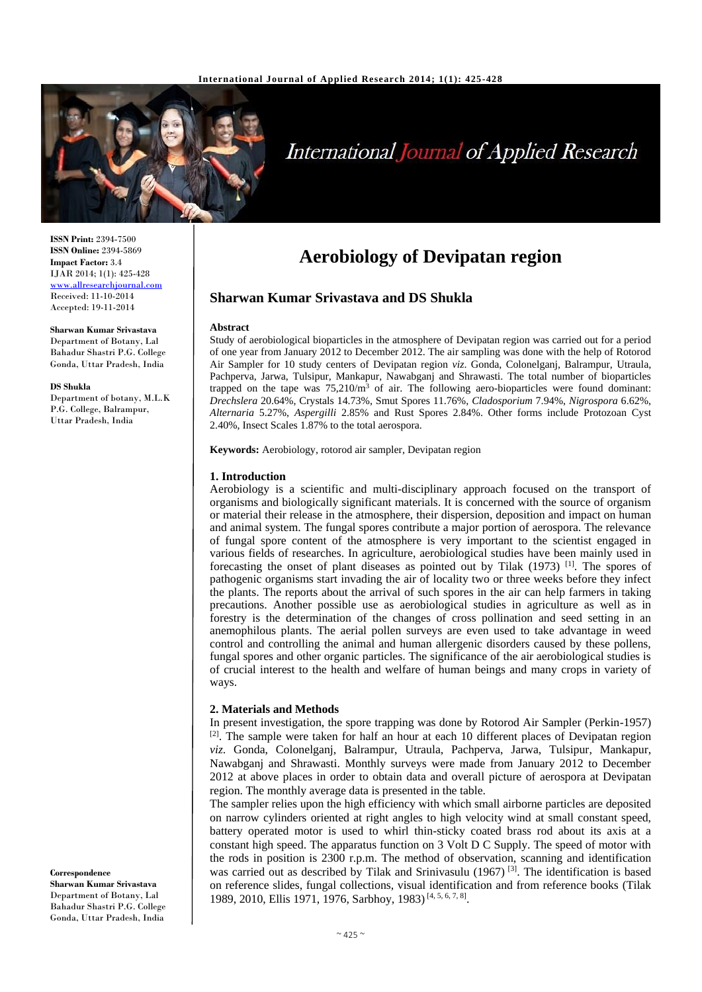

# **International Journal of Applied Research**

**ISSN Print:** 2394-7500 **ISSN Online:** 2394-5869 **Impact Factor:** 3.4 IJAR 2014; 1(1): 425-428 <www.allresearchjournal.com> Received: 11-10-2014 Accepted: 19-11-2014

**Sharwan Kumar Srivastava** Department of Botany, Lal Bahadur Shastri P.G. College Gonda, Uttar Pradesh, India

#### **DS Shukla**

Department of botany, M.L.K P.G. College, Balrampur, Uttar Pradesh, India

**Correspondence Sharwan Kumar Srivastava** Department of Botany, Lal Bahadur Shastri P.G. College Gonda, Uttar Pradesh, India

# **Aerobiology of Devipatan region**

# **Sharwan Kumar Srivastava and DS Shukla**

#### **Abstract**

Study of aerobiological bioparticles in the atmosphere of Devipatan region was carried out for a period of one year from January 2012 to December 2012. The air sampling was done with the help of Rotorod Air Sampler for 10 study centers of Devipatan region *viz*. Gonda, Colonelganj, Balrampur, Utraula, Pachperva, Jarwa, Tulsipur, Mankapur, Nawabganj and Shrawasti. The total number of bioparticles trapped on the tape was  $75,210/m<sup>3</sup>$  of air. The following aero-bioparticles were found dominant: *Drechslera* 20.64%, Crystals 14.73%, Smut Spores 11.76%, *Cladosporium* 7.94%, *Nigrospora* 6.62%, *Alternaria* 5.27%, *Aspergilli* 2.85% and Rust Spores 2.84%. Other forms include Protozoan Cyst 2.40%, Insect Scales 1.87% to the total aerospora.

**Keywords:** Aerobiology, rotorod air sampler, Devipatan region

### **1. Introduction**

Aerobiology is a scientific and multi-disciplinary approach focused on the transport of organisms and biologically significant materials. It is concerned with the source of organism or material their release in the atmosphere, their dispersion, deposition and impact on human and animal system. The fungal spores contribute a major portion of aerospora. The relevance of fungal spore content of the atmosphere is very important to the scientist engaged in various fields of researches. In agriculture, aerobiological studies have been mainly used in forecasting the onset of plant diseases as pointed out by Tilak  $(1973)$  [1]. The spores of pathogenic organisms start invading the air of locality two or three weeks before they infect the plants. The reports about the arrival of such spores in the air can help farmers in taking precautions. Another possible use as aerobiological studies in agriculture as well as in forestry is the determination of the changes of cross pollination and seed setting in an anemophilous plants. The aerial pollen surveys are even used to take advantage in weed control and controlling the animal and human allergenic disorders caused by these pollens, fungal spores and other organic particles. The significance of the air aerobiological studies is of crucial interest to the health and welfare of human beings and many crops in variety of ways.

#### **2. Materials and Methods**

In present investigation, the spore trapping was done by Rotorod Air Sampler (Perkin-1957) [2]. The sample were taken for half an hour at each 10 different places of Devipatan region *viz*. Gonda, Colonelganj, Balrampur, Utraula, Pachperva, Jarwa, Tulsipur, Mankapur, Nawabganj and Shrawasti. Monthly surveys were made from January 2012 to December 2012 at above places in order to obtain data and overall picture of aerospora at Devipatan region. The monthly average data is presented in the table.

The sampler relies upon the high efficiency with which small airborne particles are deposited on narrow cylinders oriented at right angles to high velocity wind at small constant speed, battery operated motor is used to whirl thin-sticky coated brass rod about its axis at a constant high speed. The apparatus function on 3 Volt D C Supply. The speed of motor with the rods in position is 2300 r.p.m. The method of observation, scanning and identification was carried out as described by Tilak and Srinivasulu (1967)<sup>[3]</sup>. The identification is based on reference slides, fungal collections, visual identification and from reference books (Tilak 1989, 2010, Ellis 1971, 1976, Sarbhoy, 1983)<sup>[4, 5, 6, 7, 8]</sup>.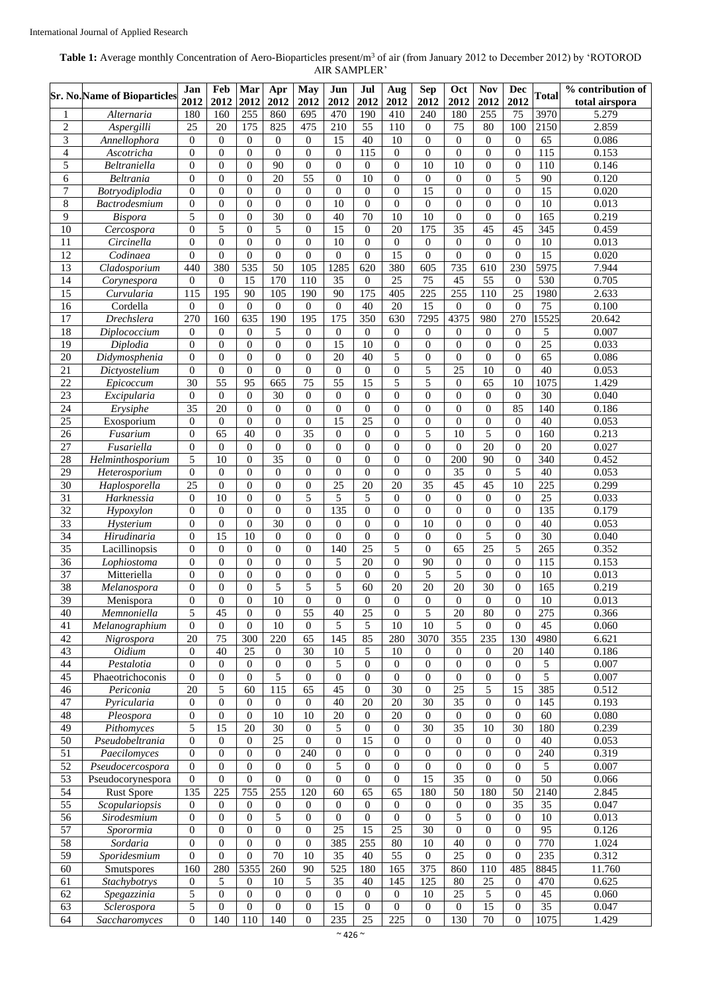# **Table 1:** Average monthly Concentration of Aero-Bioparticles present/m<sup>3</sup> of air (from January 2012 to December 2012) by 'ROTOROD AIR SAMPLER'

|                  | <b>Sr. No. Name of Bioparticles</b> | Jan<br>2012         | Feb<br>2012      | Mar<br>2012      | Apr<br>2012                 | <b>May</b><br>2012 | Jun<br>2012      | Jul<br>2012      | Aug<br>2012      | <b>Sep</b><br>2012 | Oct<br>2012      | <b>Nov</b><br>2012 | <b>Dec</b><br>2012 | <b>Total</b>     | % contribution of<br>total airspora |
|------------------|-------------------------------------|---------------------|------------------|------------------|-----------------------------|--------------------|------------------|------------------|------------------|--------------------|------------------|--------------------|--------------------|------------------|-------------------------------------|
| $\mathbf{1}$     | Alternaria                          | 180                 | 160              | 255              | 860                         | 695                | 470              | 190              | 410              | 240                | 180              | 255                | 75                 | 3970             | 5.279                               |
| $\overline{2}$   | Aspergilli                          | 25                  | 20               | 175              | 825                         | 475                | 210              | 55               | 110              | $\overline{0}$     | 75               | 80                 | 100                | 2150             | 2.859                               |
| $\overline{3}$   | Annellophora                        | $\overline{0}$      | $\theta$         | $\theta$         | $\boldsymbol{0}$            | $\boldsymbol{0}$   | $\overline{15}$  | 40               | $\overline{10}$  | $\Omega$           | $\mathbf{0}$     | $\boldsymbol{0}$   | $\theta$           | $\overline{65}$  | 0.086                               |
| $\overline{4}$   | Ascotricha                          | $\overline{0}$      | $\theta$         | $\mathbf{0}$     | $\mathbf{0}$                | $\mathbf{0}$       | $\mathbf{0}$     | $\overline{115}$ | $\overline{0}$   | $\theta$           | $\overline{0}$   | $\mathbf{0}$       | $\overline{0}$     | $\overline{115}$ | 0.153                               |
| 5                | Beltraniella                        | $\overline{0}$      | $\theta$         | $\theta$         | 90                          | $\overline{0}$     | $\Omega$         | $\mathbf{0}$     | $\theta$         | 10                 | 10               | $\overline{0}$     | $\overline{0}$     | 110              | 0.146                               |
| 6                | <b>Beltrania</b>                    | $\mathbf{0}$        | $\overline{0}$   | $\mathbf{0}$     | $\overline{20}$             | 55                 | $\mathbf{0}$     | $\overline{10}$  | $\boldsymbol{0}$ | $\overline{0}$     | $\mathbf{0}$     | $\boldsymbol{0}$   | $\overline{5}$     | $\overline{90}$  | 0.120                               |
| $\boldsymbol{7}$ | Botryodiplodia                      | $\overline{0}$      | $\theta$         | $\mathbf{0}$     | $\boldsymbol{0}$            | $\boldsymbol{0}$   | $\mathbf{0}$     | $\mathbf{0}$     | $\overline{0}$   | $\overline{15}$    | $\overline{0}$   | $\boldsymbol{0}$   | $\boldsymbol{0}$   | $\overline{15}$  | 0.020                               |
| $\,8\,$          | <b>Bactrodesmium</b>                | $\overline{0}$      | $\theta$         | $\mathbf{0}$     | $\boldsymbol{0}$            | $\boldsymbol{0}$   | 10               | $\overline{0}$   | $\overline{0}$   | $\theta$           | $\mathbf{0}$     | $\boldsymbol{0}$   | $\boldsymbol{0}$   | 10               | 0.013                               |
| 9                | <b>Bispora</b>                      | 5                   | $\theta$         | $\theta$         | $\overline{30}$             | $\boldsymbol{0}$   | 40               | $\overline{70}$  | 10               | $\overline{10}$    | $\overline{0}$   | $\overline{0}$     | $\overline{0}$     | 165              | 0.219                               |
| $\overline{10}$  | Cercospora                          | $\overline{0}$      | 5                | $\mathbf{0}$     | $\sqrt{5}$                  | $\boldsymbol{0}$   | 15               | $\theta$         | 20               | 175                | $\overline{35}$  | $\overline{45}$    | $\overline{45}$    | 345              | 0.459                               |
| 11               | Circinella                          | $\overline{0}$      | $\overline{0}$   | $\mathbf{0}$     | $\boldsymbol{0}$            | $\boldsymbol{0}$   | 10               | $\overline{0}$   | $\overline{0}$   | $\overline{0}$     | $\overline{0}$   | $\overline{0}$     | $\boldsymbol{0}$   | 10               | 0.013                               |
| 12               | Codinaea                            | $\overline{0}$      | $\overline{0}$   | $\overline{0}$   | $\boldsymbol{0}$            | $\boldsymbol{0}$   | $\mathbf{0}$     | $\overline{0}$   | 15               | $\overline{0}$     | $\boldsymbol{0}$ | $\boldsymbol{0}$   | $\boldsymbol{0}$   | $\overline{15}$  | 0.020                               |
| 13               | Cladosporium                        | 440                 | 380              | 535              | 50                          | 105                | 1285             | 620              | 380              | 605                | 735              | 610                | 230                | 5975             | 7.944                               |
| $\overline{14}$  | Corynespora                         | $\boldsymbol{0}$    | $\boldsymbol{0}$ | $\overline{15}$  | 170                         | 110                | 35               | $\boldsymbol{0}$ | $\overline{25}$  | 75                 | 45               | $\overline{55}$    | $\boldsymbol{0}$   | 530              | 0.705                               |
| $\overline{15}$  | Curvularia                          | $\overline{115}$    | $\overline{195}$ | 90               | 105                         | 190                | 90               | $\overline{175}$ | $\overline{405}$ | $\overline{225}$   | 255              | $\overline{110}$   | 25                 | 1980             | 2.633                               |
| $\overline{16}$  | Cordella                            | $\mathbf{0}$        | $\theta$         | $\mathbf{0}$     | $\overline{0}$              | $\overline{0}$     | $\mathbf{0}$     | 40               | $\overline{20}$  | 15                 | $\overline{0}$   | $\mathbf{0}$       | $\mathbf{0}$       | 75               | 0.100                               |
| $\overline{17}$  |                                     | 270                 | 160              | 635              | 190                         | 195                | $\overline{175}$ | 350              | 630              | 7295               | 4375             | 980                | 270                |                  | 20.642                              |
|                  | Drechslera                          |                     |                  |                  |                             |                    |                  |                  |                  |                    |                  |                    |                    | 15525            |                                     |
| 18               | Diplococcium                        | $\mathbf{0}$        | $\theta$         | $\mathbf{0}$     | 5                           | $\boldsymbol{0}$   | $\mathbf{0}$     | $\overline{0}$   | $\mathbf{0}$     | $\overline{0}$     | $\mathbf{0}$     | $\boldsymbol{0}$   | $\mathbf{0}$       | 5                | 0.007                               |
| $\overline{19}$  | Diplodia                            | $\overline{0}$      | $\Omega$         | $\mathbf{0}$     | $\overline{0}$              | $\boldsymbol{0}$   | $\overline{15}$  | 10               | $\mathbf{0}$     | $\theta$           | $\overline{0}$   | $\mathbf{0}$       | $\overline{0}$     | $\overline{25}$  | 0.033                               |
| $\overline{20}$  | Didymosphenia                       | $\overline{0}$      | $\theta$         | $\theta$         | $\boldsymbol{0}$            | $\overline{0}$     | $\overline{20}$  | 40               | 5                | $\theta$           | $\boldsymbol{0}$ | $\overline{0}$     | $\overline{0}$     | $\overline{65}$  | 0.086                               |
| $\overline{21}$  | Dictyostelium                       | $\overline{0}$      | $\theta$         | $\theta$         | $\mathbf{0}$                | $\boldsymbol{0}$   | $\overline{0}$   | $\theta$         | $\overline{0}$   | 5                  | $\overline{25}$  | $\overline{10}$    | $\overline{0}$     | 40               | 0.053                               |
| 22               | Epicoccum                           | 30                  | 55               | 95               | 665                         | 75                 | 55               | $\overline{15}$  | 5                | 5                  | $\boldsymbol{0}$ | 65                 | 10                 | 1075             | 1.429                               |
| $\overline{23}$  | Excipularia                         | $\boldsymbol{0}$    | $\theta$         | $\theta$         | 30                          | $\boldsymbol{0}$   | $\mathbf{0}$     | $\theta$         | $\theta$         | $\overline{0}$     | $\overline{0}$   | $\mathbf{0}$       | $\boldsymbol{0}$   | 30               | 0.040                               |
| $\overline{24}$  | Erysiphe                            | 35                  | 20               | $\Omega$         | $\boldsymbol{0}$            | $\overline{0}$     | $\mathbf{0}$     | $\mathbf{0}$     | $\theta$         | $\Omega$           | $\overline{0}$   | $\mathbf{0}$       | 85                 | 140              | 0.186                               |
| $\overline{25}$  | Exosporium                          | $\overline{0}$      | $\mathbf{0}$     | $\mathbf{0}$     | $\boldsymbol{0}$            | $\boldsymbol{0}$   | $\overline{15}$  | 25               | $\overline{0}$   | $\overline{0}$     | $\overline{0}$   | $\overline{0}$     | $\overline{0}$     | 40               | 0.053                               |
| 26               | Fusarium                            | $\overline{0}$      | 65               | 40               | $\boldsymbol{0}$            | $\overline{35}$    | $\overline{0}$   | $\overline{0}$   | $\Omega$         | 5                  | 10               | 5                  | $\overline{0}$     | 160              | 0.213                               |
| $\overline{27}$  | $\overline{F}$ usariella            | $\boldsymbol{0}$    | $\boldsymbol{0}$ | $\mathbf{0}$     | $\boldsymbol{0}$            | $\boldsymbol{0}$   | $\mathbf{0}$     | $\overline{0}$   | $\boldsymbol{0}$ | $\overline{0}$     | $\overline{0}$   | $\overline{20}$    | $\boldsymbol{0}$   | 20               | 0.027                               |
| 28               | Helminthosporium                    | 5                   | 10               | $\mathbf{0}$     | $\overline{35}$             | $\boldsymbol{0}$   | $\theta$         | $\theta$         | $\overline{0}$   | $\overline{0}$     | 200              | 90                 | $\boldsymbol{0}$   | 340              | 0.452                               |
| 29               | Heterosporium                       | $\overline{0}$      | $\theta$         | $\Omega$         | $\boldsymbol{0}$            | $\boldsymbol{0}$   | $\theta$         | $\overline{0}$   | $\overline{0}$   | $\overline{0}$     | 35               | $\mathbf{0}$       | 5                  | 40               | 0.053                               |
| 30               | Haplosporella                       | 25                  | $\Omega$         | $\Omega$         | $\mathbf{0}$                | $\boldsymbol{0}$   | 25               | 20               | 20               | 35                 | 45               | 45                 | 10                 | 225              | 0.299                               |
| $\overline{31}$  | Harknessia                          | $\overline{0}$      | 10               | $\overline{0}$   | $\boldsymbol{0}$            | 5                  | $\overline{5}$   | 5                | $\theta$         | $\overline{0}$     | $\overline{0}$   | $\boldsymbol{0}$   | $\boldsymbol{0}$   | $\overline{25}$  | 0.033                               |
| 32               | Hypoxylon                           | $\boldsymbol{0}$    | $\mathbf{0}$     | $\overline{0}$   | $\boldsymbol{0}$            | $\boldsymbol{0}$   | 135              | $\overline{0}$   | $\overline{0}$   | $\overline{0}$     | $\overline{0}$   | $\overline{0}$     | $\boldsymbol{0}$   | 135              | 0.179                               |
| $\overline{33}$  | Hysterium                           | $\boldsymbol{0}$    | $\boldsymbol{0}$ | $\theta$         | $\overline{30}$             | $\boldsymbol{0}$   | $\boldsymbol{0}$ | $\theta$         | $\overline{0}$   | 10                 | $\overline{0}$   | $\boldsymbol{0}$   | $\boldsymbol{0}$   | 40               | 0.053                               |
| 34               | Hirudinaria                         | $\mathbf{0}$        | 15               | 10               | $\boldsymbol{0}$            | $\boldsymbol{0}$   | $\Omega$         | $\theta$         | $\theta$         | $\overline{0}$     | $\overline{0}$   | 5                  | $\boldsymbol{0}$   | $\overline{30}$  | 0.040                               |
| 35               | Lacillinopsis                       | $\boldsymbol{0}$    | $\mathbf{0}$     | $\mathbf{0}$     | $\overline{0}$              | $\overline{0}$     | 140              | $\overline{25}$  | 5                | $\overline{0}$     | 65               | 25                 | $\overline{5}$     | 265              | 0.352                               |
| $\overline{36}$  | Lophiostoma                         | $\boldsymbol{0}$    | $\theta$         | $\theta$         | $\boldsymbol{0}$            | $\overline{0}$     | 5                | $\overline{20}$  | $\overline{0}$   | 90                 | $\boldsymbol{0}$ | $\boldsymbol{0}$   | $\overline{0}$     | $\overline{115}$ | 0.153                               |
| 37               | Mitteriella                         | $\overline{0}$      | $\theta$         | $\mathbf{0}$     | $\boldsymbol{0}$            | $\mathbf{0}$       | $\mathbf{0}$     | $\mathbf{0}$     | $\overline{0}$   | 5                  | 5                | $\overline{0}$     | $\overline{0}$     | $\overline{10}$  | 0.013                               |
| $\overline{38}$  | Melanospora                         | $\overline{0}$      | $\theta$         | $\overline{0}$   | 5                           | 5                  | 5                | 60               | $\overline{20}$  | $\overline{20}$    | $\overline{20}$  | 30                 | $\boldsymbol{0}$   | 165              | 0.219                               |
| 39               | Menispora                           | $\overline{0}$      | $\overline{0}$   | $\overline{0}$   | 10                          | $\mathbf{0}$       | $\mathbf{0}$     | $\boldsymbol{0}$ | $\theta$         | $\overline{0}$     | $\overline{0}$   | $\mathbf{0}$       | $\overline{0}$     | 10               | 0.013                               |
| 40               |                                     |                     | 45               | 0                |                             | 55                 | 40               | $\overline{25}$  | $\overline{0}$   | 5                  | $\overline{20}$  | 80                 | $\overline{0}$     | 275              |                                     |
| 41               | Memnoniella<br>Melanographium       | 5<br>$\overline{0}$ | $\overline{0}$   | $\overline{0}$   | $\theta$<br>$\overline{10}$ | $\boldsymbol{0}$   | 5                | 5                | $\overline{10}$  | 10                 | 5                | $\overline{0}$     | $\Omega$           | 45               | 0.366<br>0.060                      |
| 42               | Nigrospora                          | $\overline{20}$     | 75               | 300              | 220                         | $\overline{65}$    | $\overline{145}$ | 85               | 280              | 3070               | 355              | 235                | 130                | 4980             | 6.621                               |
| 43               | <i>Oidium</i>                       | $\boldsymbol{0}$    | 40               | $\overline{25}$  | $\mathbf{0}$                | $\overline{30}$    | $\overline{10}$  | 5                | $\overline{10}$  | $\theta$           | $\theta$         | $\mathbf{0}$       | $\overline{20}$    | 140              | 0.186                               |
|                  |                                     |                     |                  |                  |                             |                    |                  |                  |                  |                    |                  | $\overline{0}$     | $\mathbf{0}$       |                  |                                     |
| 44               | Pestalotia                          | $\mathbf{0}$        | $\theta$         | $\overline{0}$   | $\mathbf{0}$                | $\boldsymbol{0}$   | $\sqrt{5}$       | $\boldsymbol{0}$ | $\overline{0}$   | $\boldsymbol{0}$   | $\mathbf{0}$     |                    |                    | 5                | 0.007                               |
| 45               | Phaeotrichoconis                    | $\boldsymbol{0}$    | $\theta$         | $\theta$         | 5                           | $\boldsymbol{0}$   | $\boldsymbol{0}$ | $\overline{0}$   | $\overline{0}$   | $\overline{0}$     | $\mathbf{0}$     | $\boldsymbol{0}$   | $\boldsymbol{0}$   | 5                | 0.007                               |
| 46               | Periconia                           | 20                  | 5                | 60               | 115                         | 65                 | 45               | $\overline{0}$   | $\overline{30}$  | $\theta$           | 25               | 5                  | 15                 | 385              | 0.512                               |
| $47\,$           | Pyricularia                         | $\theta$            | $\overline{0}$   | $\Omega$         | $\mathbf{0}$                | $\boldsymbol{0}$   | 40               | 20               | 20               | 30                 | $\overline{35}$  | $\boldsymbol{0}$   | $\boldsymbol{0}$   | 145              | 0.193                               |
| 48               | Pleospora                           | $\boldsymbol{0}$    | $\overline{0}$   | $\theta$         | 10                          | 10                 | $20\,$           | $\mathbf{0}$     | 20               | $\boldsymbol{0}$   | $\boldsymbol{0}$ | $\boldsymbol{0}$   | $\boldsymbol{0}$   | 60               | 0.080                               |
| 49               | Pithomyces                          | 5                   | 15               | 20               | $\overline{30}$             | $\boldsymbol{0}$   | 5                | $\boldsymbol{0}$ | $\theta$         | 30                 | 35               | 10                 | 30                 | 180              | 0.239                               |
| 50               | Pseudobeltrania                     | $\overline{0}$      | $\theta$         | $\boldsymbol{0}$ | 25                          | $\boldsymbol{0}$   | $\mathbf{0}$     | 15               | $\overline{0}$   | $\mathbf{0}$       | $\mathbf{0}$     | $\boldsymbol{0}$   | $\boldsymbol{0}$   | 40               | 0.053                               |
| $\overline{51}$  | Paecilomyces                        | $\overline{0}$      | $\Omega$         | $\theta$         | $\overline{0}$              | 240                | $\mathbf{0}$     | $\Omega$         | $\mathbf{0}$     | $\overline{0}$     | $\overline{0}$   | $\mathbf{0}$       | $\overline{0}$     | $\overline{240}$ | 0.319                               |
| 52               | Pseudocercospora                    | $\overline{0}$      | $\theta$         | $\theta$         | $\mathbf{0}$                | $\overline{0}$     | 5                | $\theta$         | $\mathbf{0}$     | $\overline{0}$     | $\overline{0}$   | $\mathbf{0}$       | $\overline{0}$     | 5                | 0.007                               |
| $\overline{53}$  | Pseudocorynespora                   | $\overline{0}$      | $\mathbf{0}$     | $\theta$         | $\mathbf{0}$                | $\overline{0}$     | $\mathbf{0}$     | $\overline{0}$   | $\mathbf{0}$     | 15                 | $\overline{35}$  | $\mathbf{0}$       | $\overline{0}$     | $\overline{50}$  | 0.066                               |
| 54               | <b>Rust Spore</b>                   | 135                 | $\overline{225}$ | 755              | 255                         | 120                | 60               | $\overline{65}$  | 65               | 180                | $\overline{50}$  | 180                | $\overline{50}$    | 2140             | 2.845                               |
| 55               | Scopulariopsis                      | $\boldsymbol{0}$    | $\theta$         | $\mathbf{0}$     | $\mathbf{0}$                | 0                  | $\overline{0}$   | $\theta$         | $\mathbf{0}$     | $\mathbf{0}$       | $\mathbf{0}$     | $\mathbf{0}$       | 35                 | 35               | 0.047                               |
| $\overline{56}$  | Sirodesmium                         | $\boldsymbol{0}$    | $\mathbf{0}$     | $\overline{0}$   | 5                           | $\boldsymbol{0}$   | $\overline{0}$   | $\mathbf{0}$     | $\mathbf{0}$     | $\mathbf{0}$       | 5                | $\mathbf{0}$       | $\overline{0}$     | 10               | 0.013                               |
| 57               | Sporormia                           | $\boldsymbol{0}$    | $\theta$         | $\theta$         | $\mathbf{0}$                | $\boldsymbol{0}$   | $\overline{25}$  | $\overline{15}$  | 25               | $\overline{30}$    | $\overline{0}$   | $\mathbf{0}$       | $\theta$           | $\overline{95}$  | 0.126                               |
| 58               | Sordaria                            | $\overline{0}$      | $\theta$         | $\theta$         | $\mathbf{0}$                | $\overline{0}$     | 385              | 255              | 80               | $\overline{10}$    | 40               | $\mathbf{0}$       | $\overline{0}$     | 770              | 1.024                               |
| $\overline{59}$  | Sporidesmium                        | $\boldsymbol{0}$    | $\overline{0}$   | $\overline{0}$   | 70                          | $\overline{10}$    | $\overline{35}$  | 40               | $\overline{55}$  | $\theta$           | $\overline{25}$  | $\overline{0}$     | $\boldsymbol{0}$   | 235              | 0.312                               |
| 60               | Smutspores                          | 160                 | 280              | 5355             | 260                         | $\overline{90}$    | 525              | 180              | 165              | 375                | 860              | 110                | 485                | 8845             | 11.760                              |
| 61               | Stachybotrys                        | $\boldsymbol{0}$    | 5                | $\mathbf{0}$     | 10                          | 5                  | 35               | 40               | 145              | 125                | $80\,$           | 25                 | $\boldsymbol{0}$   | 470              | 0.625                               |
| 62               | Spegazzinia                         | 5                   | $\theta$         | $\theta$         | $\mathbf{0}$                | $\boldsymbol{0}$   | $\boldsymbol{0}$ | $\overline{0}$   | $\overline{0}$   | 10                 | 25               | $\sqrt{5}$         | $\boldsymbol{0}$   | 45               | 0.060                               |
| 63               | Sclerospora                         | 5                   | $\theta$         | $\theta$         | $\mathbf{0}$                | $\boldsymbol{0}$   | $\overline{15}$  | $\boldsymbol{0}$ | $\mathbf{0}$     | $\theta$           | $\overline{0}$   | $\overline{15}$    | $\overline{0}$     | $\overline{35}$  | 0.047                               |
| 64               | Saccharomyces                       | $\overline{0}$      | 140              | 110              | 140                         | $\boldsymbol{0}$   | 235              | 25               | 225              | $\overline{0}$     | 130              | 70                 | $\boldsymbol{0}$   | 1075             | 1.429                               |
|                  |                                     |                     |                  |                  |                             |                    |                  |                  |                  |                    |                  |                    |                    |                  |                                     |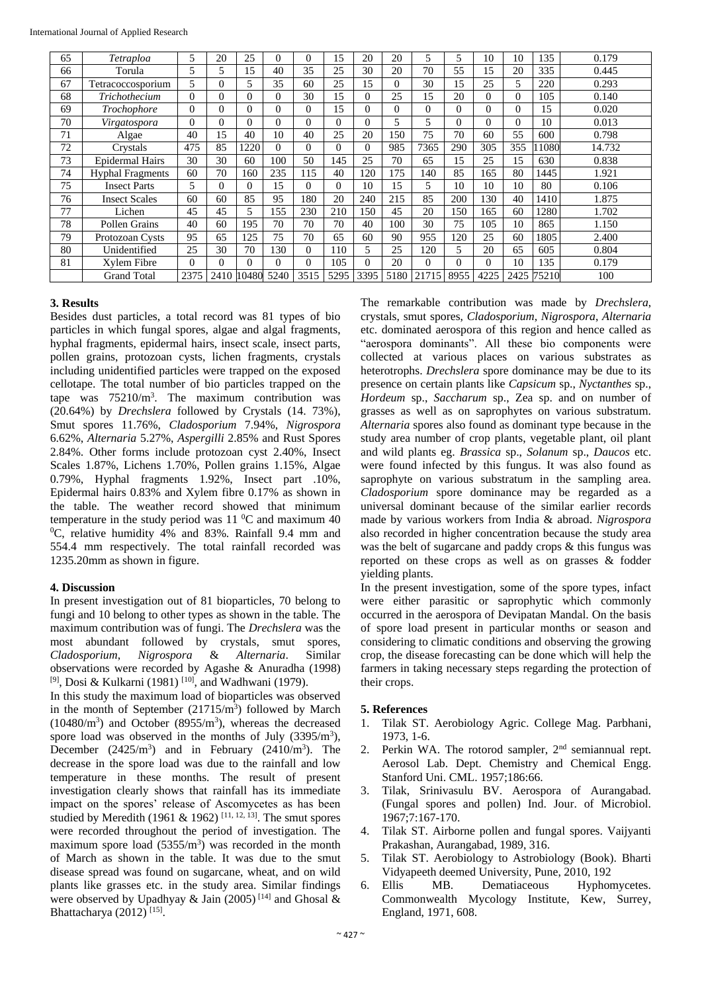| 65 | Tetraploa               | 5        | 20       | 25       | $\Omega$ | 0    | 15       | 20       | 20       | 5        |          | 10       | 10   | 135   | 0.179  |
|----|-------------------------|----------|----------|----------|----------|------|----------|----------|----------|----------|----------|----------|------|-------|--------|
| 66 | Torula                  | 5        | 5        | .5       | 40       | 35   | 25       | 30       | 20       | 70       | 55       | 15       | 20   | 335   | 0.445  |
| 67 | Tetracoccosporium       | 5        | $\Omega$ | 5        | 35       | 60   | 25       | 15       | $\Omega$ | 30       | 15       | 25       | 5    | 220   | 0.293  |
| 68 | Trichothecium           | $\Omega$ | 0        | 0        | $\Omega$ | 30   | 15       | $\Omega$ | 25       | 15       | 20       | $\Omega$ | 0    | 105   | 0.140  |
| 69 | Trochophore             | $\Omega$ | $\Omega$ | $\Omega$ | $\Omega$ | 0    | 15       | 0        | $\Omega$ | $\Omega$ | $\Omega$ | $\Omega$ | 0    | 15    | 0.020  |
| 70 | Virgatospora            | $\Omega$ | $\Omega$ | 0        | $\Omega$ | 0    | $\Omega$ | $\Omega$ | 5        |          | $\Omega$ | $\Omega$ | 0    | 10    | 0.013  |
| 71 | Algae                   | 40       | 15       | 40       | 10       | 40   | 25       | 20       | 150      | 75       | 70       | 60       | 55   | 600   | 0.798  |
| 72 | Crystals                | 475      | 85       | 1220     | $\Omega$ | 0    | $\Omega$ | $\Omega$ | 985      | 7365     | 290      | 305      | 355  | 1080  | 14.732 |
| 73 | <b>Epidermal Hairs</b>  | 30       | 30       | 60       | 100      | 50   | 145      | 25       | 70       | 65       | 15       | 25       | 15   | 630   | 0.838  |
| 74 | <b>Hyphal Fragments</b> | 60       | 70       | 160      | 235      | 115  | 40       | 120      | 175      | 140      | 85       | 165      | 80   | 1445  | 1.921  |
| 75 | <b>Insect Parts</b>     | 5        | $\Omega$ | 0        | 15       | 0    | $\Omega$ | 10       | 15       | 5        | 10       | 10       | 10   | 80    | 0.106  |
| 76 | <b>Insect Scales</b>    | 60       | 60       | 85       | 95       | 180  | 20       | 240      | 215      | 85       | 200      | 130      | 40   | 1410  | 1.875  |
| 77 | Lichen                  | 45       | 45       | 5        | 155      | 230  | 210      | 150      | 45       | 20       | 150      | 165      | 60   | 1280  | 1.702  |
| 78 | Pollen Grains           | 40       | 60       | 195      | 70       | 70   | 70       | 40       | 100      | 30       | 75       | 105      | 10   | 865   | 1.150  |
| 79 | Protozoan Cysts         | 95       | 65       | 125      | 75       | 70   | 65       | 60       | 90       | 955      | 120      | 25       | 60   | 1805  | 2.400  |
| 80 | Unidentified            | 25       | 30       | 70       | 130      | 0    | 110      | 5        | 25       | 120      | 5        | 20       | 65   | 605   | 0.804  |
| 81 | Xylem Fibre             | $\Omega$ | 0        | $\Omega$ | $\Omega$ | 0    | 105      | 0        | 20       | $\Omega$ | $\Omega$ | $\Omega$ | 10   | 135   | 0.179  |
|    | <b>Grand Total</b>      | 2375     | 2410     | 10480    | 5240     | 3515 | 5295     | 3395     | 5180     | 21715    | 8955     | 4225     | 2425 | 75210 | 100    |

# **3. Results**

Besides dust particles, a total record was 81 types of bio particles in which fungal spores, algae and algal fragments, hyphal fragments, epidermal hairs, insect scale, insect parts, pollen grains, protozoan cysts, lichen fragments, crystals including unidentified particles were trapped on the exposed cellotape. The total number of bio particles trapped on the tape was  $75210/m<sup>3</sup>$ . The maximum contribution was (20.64%) by *Drechslera* followed by Crystals (14. 73%), Smut spores 11.76%, *Cladosporium* 7.94%, *Nigrospora* 6.62%, *Alternaria* 5.27%, *Aspergilli* 2.85% and Rust Spores 2.84%. Other forms include protozoan cyst 2.40%, Insect Scales 1.87%, Lichens 1.70%, Pollen grains 1.15%, Algae 0.79%, Hyphal fragments 1.92%, Insect part .10%, Epidermal hairs 0.83% and Xylem fibre 0.17% as shown in the table. The weather record showed that minimum temperature in the study period was  $11\text{ °C}$  and maximum 40 <sup>0</sup>C, relative humidity 4% and 83%. Rainfall 9.4 mm and 554.4 mm respectively. The total rainfall recorded was 1235.20mm as shown in figure.

## **4. Discussion**

In present investigation out of 81 bioparticles, 70 belong to fungi and 10 belong to other types as shown in the table. The maximum contribution was of fungi. The *Drechslera* was the most abundant followed by crystals, smut spores, *Cladosporium*, *Nigrospora* & *Alternaria*. Similar observations were recorded by Agashe & Anuradha (1998) [9], Dosi & Kulkarni (1981)<sup>[10]</sup>, and Wadhwani (1979).

In this study the maximum load of bioparticles was observed in the month of September  $(21715/m<sup>3</sup>)$  followed by March  $(10480/m<sup>3</sup>)$  and October (8955/m<sup>3</sup>), whereas the decreased spore load was observed in the months of July  $(3395/m<sup>3</sup>)$ , December  $(2425/m^3)$  and in February  $(2410/m^3)$ . The decrease in the spore load was due to the rainfall and low temperature in these months. The result of present investigation clearly shows that rainfall has its immediate impact on the spores' release of Ascomycetes as has been studied by Meredith (1961 & 1962)<sup>[11, 12, 13]</sup>. The smut spores were recorded throughout the period of investigation. The maximum spore load  $(5355/m<sup>3</sup>)$  was recorded in the month of March as shown in the table. It was due to the smut disease spread was found on sugarcane, wheat, and on wild plants like grasses etc. in the study area. Similar findings were observed by Upadhyay & Jain (2005)<sup>[14]</sup> and Ghosal & Bhattacharya (2012)<sup>[15]</sup>.

The remarkable contribution was made by *Drechslera*, crystals, smut spores, *Cladosporium*, *Nigrospora*, *Alternaria* etc. dominated aerospora of this region and hence called as "aerospora dominants". All these bio components were collected at various places on various substrates as heterotrophs. *Drechslera* spore dominance may be due to its presence on certain plants like *Capsicum* sp., *Nyctanthes* sp., *Hordeum* sp., *Saccharum* sp., Zea sp. and on number of grasses as well as on saprophytes on various substratum. *Alternaria* spores also found as dominant type because in the study area number of crop plants, vegetable plant, oil plant and wild plants eg. *Brassica* sp., *Solanum* sp., *Daucos* etc. were found infected by this fungus. It was also found as saprophyte on various substratum in the sampling area. *Cladosporium* spore dominance may be regarded as a universal dominant because of the similar earlier records made by various workers from India & abroad. *Nigrospora* also recorded in higher concentration because the study area was the belt of sugarcane and paddy crops & this fungus was reported on these crops as well as on grasses & fodder yielding plants.

In the present investigation, some of the spore types, infact were either parasitic or saprophytic which commonly occurred in the aerospora of Devipatan Mandal. On the basis of spore load present in particular months or season and considering to climatic conditions and observing the growing crop, the disease forecasting can be done which will help the farmers in taking necessary steps regarding the protection of their crops.

# **5. References**

- 1. Tilak ST. Aerobiology Agric. College Mag. Parbhani, 1973, 1-6.
- 2. Perkin WA. The rotorod sampler,  $2<sup>nd</sup>$  semiannual rept. Aerosol Lab. Dept. Chemistry and Chemical Engg. Stanford Uni. CML. 1957;186:66.
- 3. Tilak, Srinivasulu BV. Aerospora of Aurangabad. (Fungal spores and pollen) Ind. Jour. of Microbiol. 1967;7:167-170.
- 4. Tilak ST. Airborne pollen and fungal spores. Vaijyanti Prakashan, Aurangabad, 1989, 316.
- 5. Tilak ST. Aerobiology to Astrobiology (Book). Bharti Vidyapeeth deemed University, Pune, 2010, 192
- 6. Ellis MB. Dematiaceous Hyphomycetes. Commonwealth Mycology Institute, Kew, Surrey, England, 1971, 608.